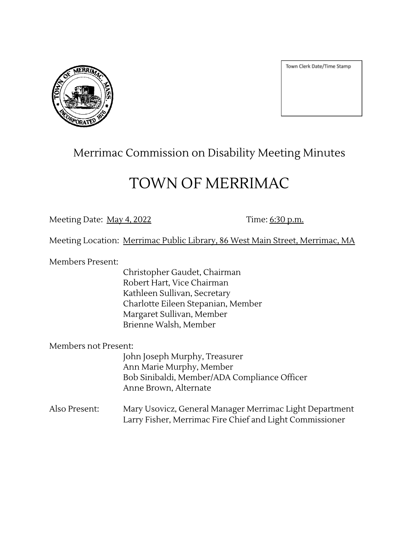

Town Clerk Date/Time Stamp

## Merrimac Commission on Disability Meeting Minutes

## TOWN OF MERRIMAC

Meeting Date: <u>May 4, 2022</u> Time: 6:30 p.m.

Meeting Location: Merrimac Public Library, 86 West Main Street, Merrimac, MA

Members Present:

Christopher Gaudet, Chairman Robert Hart, Vice Chairman Kathleen Sullivan, Secretary Charlotte Eileen Stepanian, Member Margaret Sullivan, Member Brienne Walsh, Member

Members not Present:

John Joseph Murphy, Treasurer Ann Marie Murphy, Member Bob Sinibaldi, Member/ADA Compliance Officer Anne Brown, Alternate

Also Present: Mary Usovicz, General Manager Merrimac Light Department Larry Fisher, Merrimac Fire Chief and Light Commissioner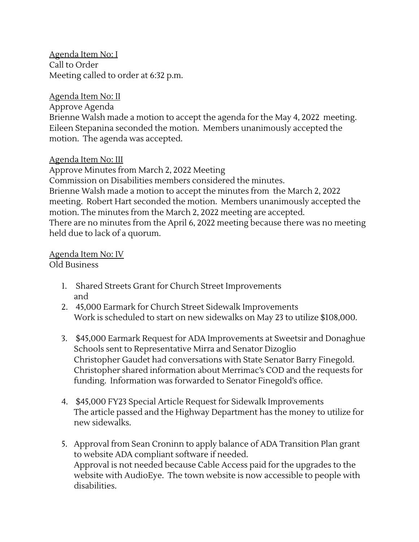Agenda Item No: I Call to Order Meeting called to order at 6:32 p.m.

## Agenda Item No: II

Approve Agenda

Brienne Walsh made a motion to accept the agenda for the May 4, 2022 meeting. Eileen Stepanina seconded the motion. Members unanimously accepted the motion. The agenda was accepted.

Agenda Item No: III

Approve Minutes from March 2, 2022 Meeting Commission on Disabilities members considered the minutes. Brienne Walsh made a motion to accept the minutes from the March 2, 2022 meeting. Robert Hart seconded the motion. Members unanimously accepted the motion. The minutes from the March 2, 2022 meeting are accepted. There are no minutes from the April 6, 2022 meeting because there was no meeting held due to lack of a quorum.

<u>Agenda Item No: IV</u> Old Business

- 1. Shared Streets Grant for Church Street Improvements and
- 2. 45,000 Earmark for Church Street Sidewalk Improvements Work is scheduled to start on new sidewalks on May 23 to utilize \$108,000.
- 3. \$45,000 Earmark Request for ADA Improvements at Sweetsir and Donaghue Schools sent to Representative Mirra and Senator Dizoglio Christopher Gaudet had conversations with State Senator Barry Finegold. Christopher shared information about Merrimac's COD and the requests for funding. Information was forwarded to Senator Finegold's office.
- 4. \$45,000 FY23 Special Article Request for Sidewalk Improvements The article passed and the Highway Department has the money to utilize for new sidewalks.
- 5. Approval from Sean Croninn to apply balance of ADA Transition Plan grant to website ADA compliant software if needed. Approval is not needed because Cable Access paid for the upgrades to the website with AudioEye. The town website is now accessible to people with disabilities.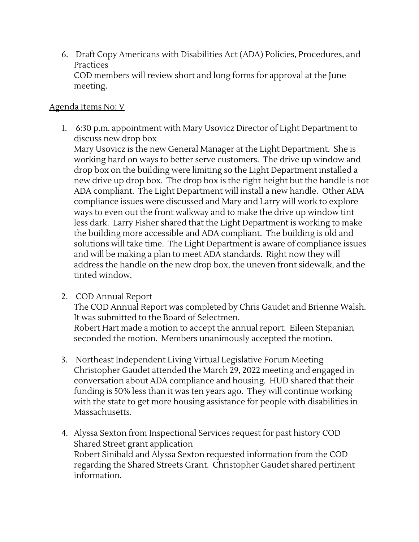6. Draft Copy Americans with Disabilities Act (ADA) Policies, Procedures, and Practices COD members will review short and long forms for approval at the June meeting.

## Agenda Items No: V

1. 6:30 p.m. appointment with Mary Usovicz Director of Light Department to discuss new drop box

Mary Usovicz is the new General Manager at the Light Department. She is working hard on ways to better serve customers. The drive up window and drop box on the building were limiting so the Light Department installed a new drive up drop box. The drop box is the right height but the handle is not ADA compliant. The Light Department will install a new handle. Other ADA compliance issues were discussed and Mary and Larry will work to explore ways to even out the front walkway and to make the drive up window tint less dark. Larry Fisher shared that the Light Department is working to make the building more accessible and ADA compliant. The building is old and solutions will take time. The Light Department is aware of compliance issues and will be making a plan to meet ADA standards. Right now they will address the handle on the new drop box, the uneven front sidewalk, and the tinted window.

2. COD Annual Report

The COD Annual Report was completed by Chris Gaudet and Brienne Walsh. It was submitted to the Board of Selectmen.

Robert Hart made a motion to accept the annual report. Eileen Stepanian seconded the motion. Members unanimously accepted the motion.

- 3. Northeast Independent Living Virtual Legislative Forum Meeting Christopher Gaudet attended the March 29, 2022 meeting and engaged in conversation about ADA compliance and housing. HUD shared that their funding is 50% less than it was ten years ago. They will continue working with the state to get more housing assistance for people with disabilities in Massachusetts.
- 4. Alyssa Sexton from Inspectional Services request for past history COD Shared Street grant application Robert Sinibald and Alyssa Sexton requested information from the COD regarding the Shared Streets Grant. Christopher Gaudet shared pertinent information.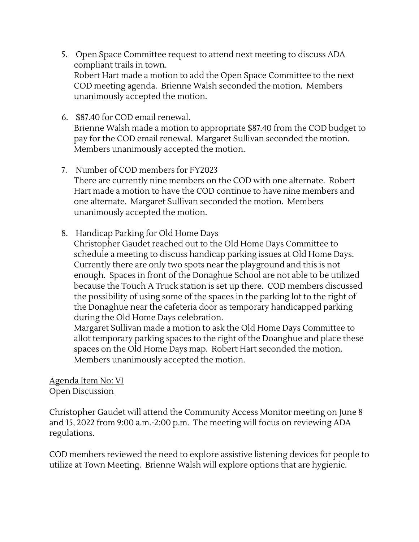- 5. Open Space Committee request to attend next meeting to discuss ADA compliant trails in town. Robert Hart made a motion to add the Open Space Committee to the next COD meeting agenda. Brienne Walsh seconded the motion. Members unanimously accepted the motion.
- 6. \$87.40 for COD email renewal. Brienne Walsh made a motion to appropriate \$87.40 from the COD budget to pay for the COD email renewal. Margaret Sullivan seconded the motion. Members unanimously accepted the motion.
- 7. Number of COD members for FY2023 There are currently nine members on the COD with one alternate. Robert Hart made a motion to have the COD continue to have nine members and one alternate. Margaret Sullivan seconded the motion. Members unanimously accepted the motion.
- 8. Handicap Parking for Old Home Days

Christopher Gaudet reached out to the Old Home Days Committee to schedule a meeting to discuss handicap parking issues at Old Home Days. Currently there are only two spots near the playground and this is not enough. Spaces in front of the Donaghue School are not able to be utilized because the Touch A Truck station is set up there. COD members discussed the possibility of using some of the spaces in the parking lot to the right of the Donaghue near the cafeteria door as temporary handicapped parking during the Old Home Days celebration.

Margaret Sullivan made a motion to ask the Old Home Days Committee to allot temporary parking spaces to the right of the Doanghue and place these spaces on the Old Home Days map. Robert Hart seconded the motion. Members unanimously accepted the motion.

Agenda Item No: VI Open Discussion

Christopher Gaudet will attend the Community Access Monitor meeting on June 8 and 15, 2022 from 9:00 a.m.-2:00 p.m. The meeting will focus on reviewing ADA regulations.

COD members reviewed the need to explore assistive listening devices for people to utilize at Town Meeting. Brienne Walsh will explore options that are hygienic.